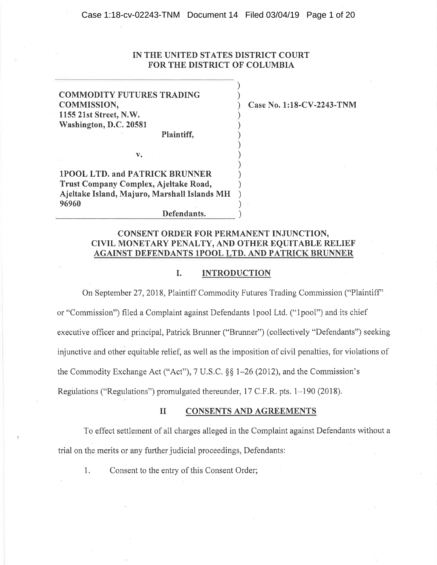Case 1:18-cv-02243-TNM Document 14 Filed 03/04/19 Page 1 of 20

# **IN THE UNITED STATES DISTRICT COURT FOR THE DISTRICT OF COLUMBIA**

) )

> ) ) ) ) ) ) ) ) ) )

**COMMODITY FUTURES TRADING COMMISSION, 1155 21st Street, N.W. Washington, D.C. 20581 Plaintiff,** 

) **Case No. 1:18-CV-2243-TNM** 

**lPOOL LTD. and PATRICK BRUNNER Trust Company Complex, Ajeltake Road, Ajeltake Island, Majuro, Marshall Islands MH 96960**  96960 (196960)

**v.** 

# **CONSENT ORDER FOR PERMANENT INJUNCTION, CIVIL MONETARY PENALTY, AND OTHER EQUITABLE RELIEF AGAINST DEFENDANTS 1POOL LTD. AND PATRICK BRUNNER**

## I. **INTRODUCTION**

On September 27, 2018, Plaintiff Commodity Futures Trading Commission ("Plaintiff' or "Commission") filed a Complaint against Defendants 1 pool Ltd. (" 1 pool") and its chief executive officer and principal, Patrick Brunner ("Brunner") ( collectively "Defendants") seeking injunctive and other equitable relief, as well as the imposition of civil penalties, for violations of the Commodity Exchange Act ("Act"), 7 U.S.C. §§ 1-26 (2012), and the Commission's Regulations ("Regulations") promulgated thereunder, 17 C.F .R. pts. 1-190 (2018).

### II **CONSENTS AND AGREEMENTS**

To effect settlement of all charges alleged in the Complaint against Defendants without a trial on the merits or any further judicial proceedings, Defendants:

1. Consent to the entry of this Consent Order;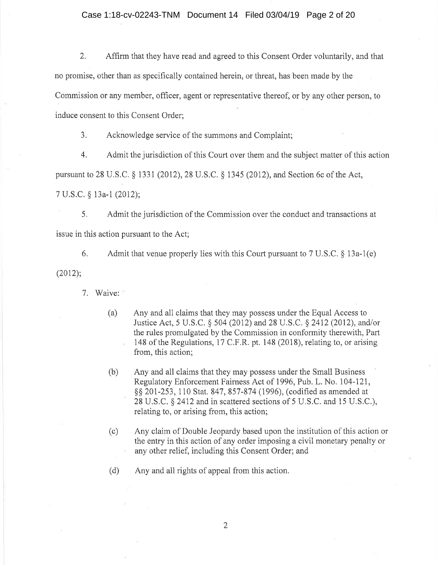# Case 1:18-cv-02243-TNM Document 14 Filed 03/04/19 Page 2 of 20

2. Affirm that they have read and agreed to this Consent Order voluntarily, and that no promise, other than as specifically contained herein, or threat, has been made by the Commission or any member, officer, agent or representative thereof, or by any other person, to induce consent to this Consent Order;

3. Acknowledge service of the summons and Complaint;

4. Admit the jurisdiction of this Court over them and the subject matter of this action

pursuant to 28 U.S.C. § 1331 (2012), 28 U.S.C. § 1345 (2012), and Section 6c ofthe Act,

7 U.S.C. § 13a-1 (2012);

5. Admit the jurisdiction of the Commission over the conduct and transactions at issue in this action pursuant to the Act;

6. Admit that venue properly lies with this Court pursuant to 7 U.S.C.  $\S$  13a-1(e)

(2012);

7. Waive:

- (a) Any and all claims that they may possess under the Equal Access to Justice Act, 5 U.S.C. § 504 (2012) and 28 U.S.C. § 2412 (2012), and/or the rules promulgated by the Commission in conformity therewith, Part 148 of the Regulations, 17 C.F.R. pt. 148 (2018), relating to, or arising from, this action;
- (b) Any and all claims that they may possess under the Small Business Regulatory Enforcement Fairness Act of 1996, Pub. L. No. 104-121, §§ 201-253, 110 Stat. 847, 857-874 (1996), (codified as amended at 28 U.S.C. § 2412 and in scattered sections of 5 U.S.C. and 15 U.S.C.), relating to, or arising from, this action;
- (c) Any claim of Double Jeopardy based upon the institution of this action or the entry in this action of any order imposing a civil monetary penalty or any other relief, including this Consent Order; and
- ( d) Any and all rights of appeal from this action.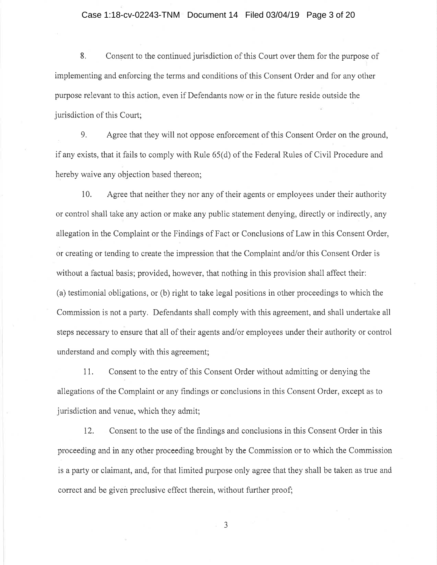# Case 1:18-cv-02243-TNM Document 14 Filed 03/04/19 Page 3 of 20

8. Consent to the continued jurisdiction of this Court over them for the purpose of implementing and enforcing the terms and conditions of this Consent Order and for any other purpose relevant to this action, even if Defendants now or in the future reside outside the jurisdiction of this Court;

9. Agree that they will not oppose enforcement of this Consent Order on the ground, if any exists, that it fails to comply with Rule 65( d) of the Federal Rules of Civil Procedure and hereby waive any objection based thereon;

10. Agree that neither they nor any of their agents or employees under their authority or control shall take any action or make any public statement denying, directly or indirectly, any allegation in the Complaint or the Findings of Fact or Conclusions of Law in this Consent Order, or creating or tending to create the impression that the Complaint and/or this Consent Order is without a factual basis; provided, however, that nothing in this provision shall affect their: (a) testimonial obligations, or (b) right to take legal positions in other proceedings to which the Commission is not a party. Defendants shall comply with this agreement, and shall undertake all steps necessary to ensure that all of their agents and/or employees under their authority or control understand and comply with this agreement;

11. Consent to the entry of this Consent Order without admitting or denying the allegations of the Complaint or any findings or conclusions in this Consent Order, except as to jurisdiction and venue, which they admit;

12. Consent to the use of the findings and conclusions in this Consent Order in this proceeding and in any other proceeding brought by the Commission or to which the Commission is a party or claimant, and, for that limited purpose only agree that they shall be taken as true and correct and be given preclusive effect therein, without further proof;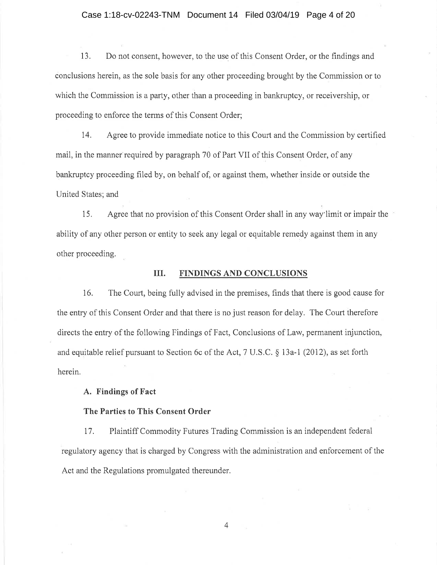#### Case 1:18-cv-02243-TNM Document 14 Filed 03/04/19 Page 4 of 20

13. Do not consent, however, to the use of this Consent Order, or the findings and conclusions herein, as the sole basis for any other proceeding brought by the Commission or to which the Commission is a party, other than a proceeding in bankruptcy, or receivership, or proceeding to enforce the terms of this Consent Order;

14. Agree to provide immediate notice to this Court and the Commission by certified mail, in the manner required by paragraph 70 of Part VII of this Consent Order, of any bankruptcy proceeding filed by, on behalf of, or against them, whether inside or outside the United States; and

15. Agree that no provision of this Consent Order shall in any way· limit or impair the ability of any other person or entity to seek any legal or equitable remedy against them in any other proceeding.

## **III. FINDINGS AND CONCLUSIONS**

16. The Court, being fully advised in the premises, finds that there is good cause for the entry of this Consent Order and that there is no just reason for delay. The Court therefore directs the entry of the following Findings of Fact, Conclusions of Law, permanent injunction, and equitable relief pursuant to Section 6c of the Act, 7 U.S.C. § 13a-1 (2012), as set forth herein.

# **A. Findings of Fact**

### **The Parties to This Consent Order**

1 7. Plaintiff Commodity Futures Trading Commission is an independent federal regulatory agency that is charged by Congress with the administration and enforcement of the Act and the Regulations promulgated thereunder.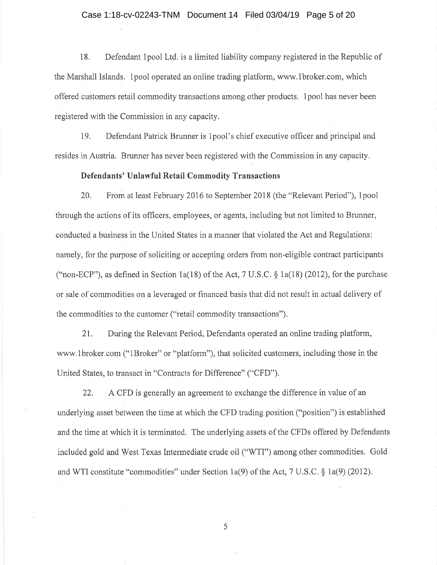#### Case 1:18-cv-02243-TNM Document 14 Filed 03/04/19 Page 5 of 20

18. Defendant 1 pool Ltd. is a limited liability company registered in the Republic of the Marshall Islands. 1 pool operated an online trading platform, www.1broker.com, which offered customers retail commodity transactions among other products. 1 pool has never been registered with the Commission in any capacity.

19. Defendant Patrick Brunner is 1 pool's chief executive officer and principal and resides in Austria. Brunner has never been registered with the Commission in any capacity.

## **Defendants' Unlawful Retail Commodity Transactions**

20. From at least February 2016 to September 2018 (the "Relevant Period"), lpool through the actions of its officers, employees, or agents, including but not limited to Brunner, conducted a business in the United States in a manner that violated the Act and Regulations: namely, for the purpose of soliciting or accepting orders from non-eligible contract participants ("non-ECP"), as defined in Section 1a(18) of the Act, 7 U.S.C.  $\S$  1a(18) (2012), for the purchase or sale of commodities on a leveraged or financed basis that did not result in actual delivery of the commodities to the customer ("retail commodity transactions").

21. During the Relevant Period, Defendants operated an online trading platform, www.1broker.com ("1Broker" or "platform"), that solicited customers, including those in the United States, to transact in "Contracts for Difference" ("CFD").

22. A CFD is generally an agreement to exchange the difference in value of an underlying asset between the time at which the CFD trading position ("position") is established and the time at which it is terminated. The underlying assets of the CFDs offered by Defendants included gold and West Texas Intermediate crude oil ("WTI") among other commodities. Gold and WTI constitute "commodities" under Section la(9) of the Act, 7 U.S.C. § la(9) (2012).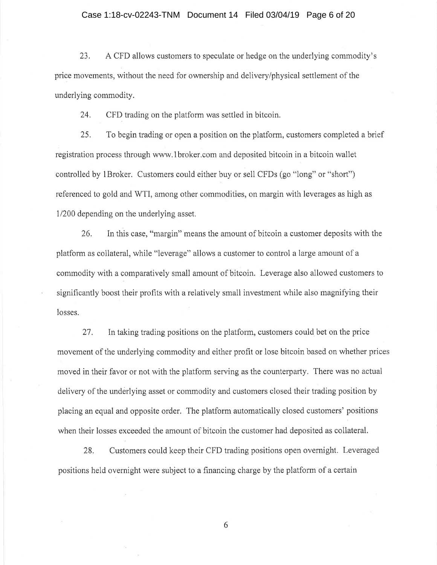#### Case 1:18-cv-02243-TNM Document 14 Filed 03/04/19 Page 6 of 20

23. A CFD allows customers to speculate or hedge on the underlying commodity's price movements, without the need for ownership and delivery/physical settlement of the underlying commodity.

24. CFD trading on the platform was settled in bitcoin.

25. To begin trading or open a position on the platform, customers completed a brief registration process through www.1broker.com and deposited bitcoin in a bitcoin wallet controlled by 1 Broker. Customers could either buy or sell CFDs (go "long" or "short") referenced to gold and WTI, among other commodities, on margin with leverages as high as 1/200 depending on the underlying asset.

26. In this case, "margin" means the amount of bitcoin a customer deposits with the platform as collateral, while "leverage" allows a customer to control a large amount of a commodity with a comparatively small amount of bitcoin. Leverage also allowed customers to significantly boost their profits with a relatively small investment while also magnifying their losses.

27. In taking trading positions on the platform, customers could bet on the price movement of the underlying commodity and either profit or lose bitcoin based on whether prices moved in their favor or not with the platform serving as the counterparty. There was no actual delivery of the underlying asset or commodity and customers closed their trading position by placing an equal and opposite order. The platform automatically closed customers' positions when their losses exceeded the amount of bitcoin the customer had deposited as collateral.

28. Customers could keep their CFD trading positions open overnight. Leveraged positions held overnight were subject to a financing charge by the platform of a certain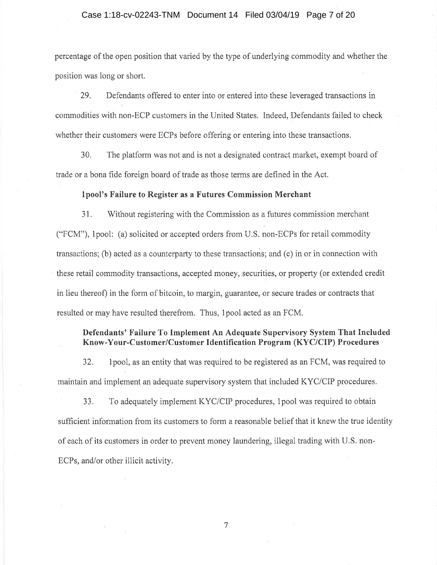# Case 1:18-cv-02243-TNM Document 14 Filed 03/04/19 Page 7 of 20

percentage of the open position that varied by the type of underlying commodity and whether the position was long or short.

29. Defendants offered to enter into or entered into these leveraged transactions in commodities with non-ECP customers in the United States. Indeed, Defendants failed to check whether their customers were ECPs before offering or entering into these transactions.

30. The platform was not and is not a designated contract market, exempt board of trade or a bona fide foreign board of trade as those terms are defined in the Act.

## **lpool's Failure to Register as a Futures Commission Merchant**

31. Without registering with the Commission as a futures commission merchant ("FCM"), 1 pool: (a) solicited or accepted orders from U.S. non-ECPs for retail commodity transactions; (b) acted as a counterparty to these transactions; and  $(c)$  in or in connection with these retail commodity transactions, accepted money, securities, or property (or extended credit in lieu thereof) in the form of bitcoin, to margin, guarantee, or secure trades or contracts that resulted or may have resulted therefrom. Thus, 1 pool acted as an FCM.

# **Defendants' Failure To Implement An Adequate Supervisory System That Included Know-Your-Customer/Customer Identification Program (KYC/CIP) Procedures**

32. 1 pool, as an entity that was required to be registered as an FCM, was required to maintain and implement an adequate supervisory system that included KYC/CIP procedures.

33. To adequately implement KYC/CIP procedures, lpool was required to obtain sufficient information from its customers to form a reasonable belief that it knew the true identity of each of its customers in order to prevent money laundering, illegal trading with U.S. non-ECPs, and/or other illicit activity.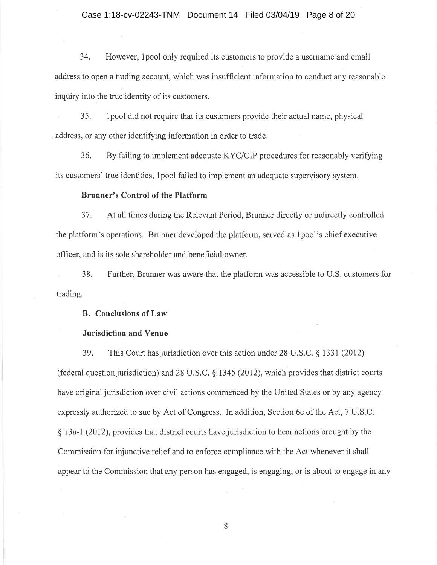## Case 1:18-cv-02243-TNM Document 14 Filed 03/04/19 Page 8 of 20

34. However, 1 pool only required its customers to provide a username and email address to open a trading account, which was insufficient information to conduct any reasonable inquiry into the true identity of its customers.

35. lpool did not require that its customers provide their actual name, physical address, or any other identifying information in order to trade.

 $36.$  By failing to implement adequate KYC/CIP procedures for reasonably verifying its customers' true identities, 1 pool failed to implement an adequate supervisory system.

# **Brunner's Control of the Platform**

37. At all times during the Relevant Period, Brunner directly or indirectly controlled the platform's operations. Brunner developed the platform, served as I pool's chief executive officer, and is its sole shareholder and beneficial owner.

trading. 38. Further, Brunner was aware that the platform was accessible to U.S. customers for

# **B. Conclusions of Law**

## **Jurisdiction and Venue**

39. This Court has jurisdiction over this action under 28 U.S.C. § 1331 (2012) (federal question jurisdiction) and 28 U.S.C. § 1345 (2012), which provides that district courts have original jurisdiction over civil actions commenced by the United States or by any agency expressly authorized to sue by Act of Congress. In addition, Section 6c of the Act, 7 U.S.C. § 13a-1 (2012), provides that district courts have jurisdiction to hear actions brought by the Commission for injunctive relief and to enforce compliance with the Act whenever it shall appear to the Commission that any person has engaged, is engaging, or is about to engage in any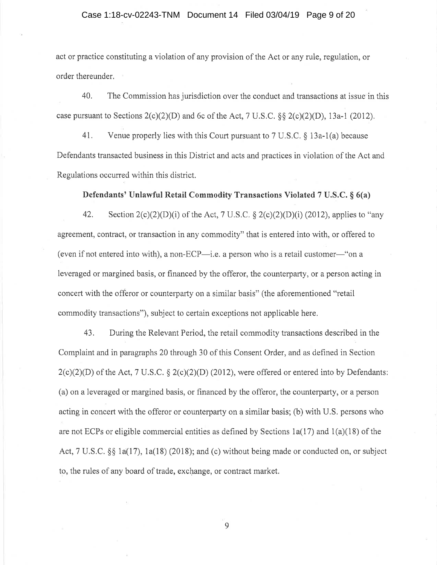# Case 1:18-cv-02243-TNM Document 14 Filed 03/04/19 Page 9 of 20

act or practice constituting a violation of any provision of the Act or any rule, regulation, or order thereunder.

40. The Commission has jurisdiction over the conduct and transactions at issue in this case pursuant to Sections  $2(c)(2)(D)$  and 6c of the Act, 7 U.S.C. §§  $2(c)(2)(D)$ , 13a-1 (2012).

41. Venue properly lies with this Court pursuant to 7 U.S.C. § 13a-l(a) because Defendants transacted business in this District and acts and practices in violation of the Act and Regulations occurred within this district.

**Defendants' Unlawful Retail Commodity Transactions Violated 7 U.S.C. § 6(a)** 

42. Section  $2(c)(2)(D)(i)$  of the Act, 7 U.S.C. §  $2(c)(2)(D)(i)$  (2012), applies to "any agreement, contract, or transaction in any commodity" that is entered into with, or offered to (even if not entered into with), a non-ECP—i.e. a person who is a retail customer—"on a leveraged or margined basis, or financed by the offeror, the counterparty, or a person acting in concert with the offeror or counterparty on a similar basis" (the aforementioned "retail commodity transactions"), subject to certain exceptions not applicable here.

43. During the Relevant Period, the retail commodity transactions described in the Complaint and in paragraphs 20 through 30 of this Consent Order, and as defined in Section  $2(c)(2)(D)$  of the Act, 7 U.S.C. §  $2(c)(2)(D)$  (2012), were offered or entered into by Defendants: (a) on a leveraged or margined basis, or financed by the offeror, the counterparty, or a person acting in concert with the offeror or counterparty on a similar basis; (b) with U.S. persons who are not ECPs or eligible commercial entities as defined by Sections  $1a(17)$  and  $1(a)(18)$  of the Act,  $7 \text{ U.S.C.}$  §§ 1a(17), 1a(18) (2018); and (c) without being made or conducted on, or subject to, the rules of any board of trade, exchange, or contract market.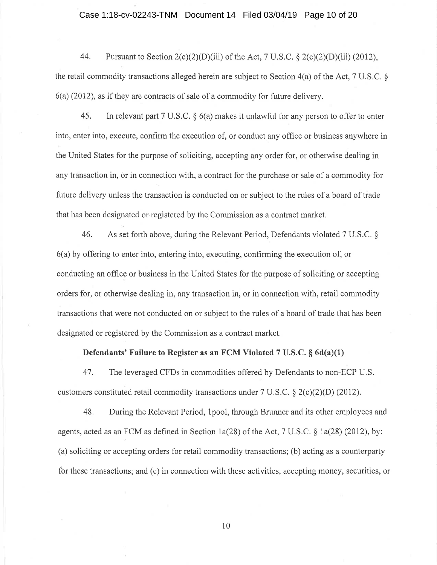#### Case 1:18-cv-02243-TNM Document 14 Filed 03/04/19 Page 10 of 20

44. Pursuant to Section  $2(c)(2)(D)(iii)$  of the Act, 7 U.S.C. §  $2(c)(2)(D)(iii)$  (2012), the retail commodity transactions alleged herein are subject to Section 4(a) of the Act, 7 U.S.C. § 6(a) (2012), as if they are contracts of sale of a commodity for future delivery.

45. In relevant part 7 U.S.C. § 6(a) makes it unlawful for any person to offer to enter into, enter into, execute, confirm the execution of, or conduct any office or business anywhere in the United States for the purpose of soliciting, accepting any order for, or otherwise dealing in any transaction in, or in connection with, a contract for the purchase or sale of a commodity for future delivery unless the transaction is conducted on or subject to the rules of a board of trade that has been designated or-registered by the Commission as a contract market.

46. As set forth above, during the Relevant Period, Defendants violated 7 U.S.C. § 6(a) by offering to enter into, entering into, executing, confirming the execution of, or conducting an office or business in the United States for the purpose of soliciting or accepting orders for, or otherwise dealing in, any transaction in, or in connection with, retail commodity transactions that were not conducted on or subject to the rules of a board of trade that has been designated or registered by the Commission as a contract market.

# **Defendants' Failure to Register as an FCM Violated 7 U.S.C. § 6d(a)(l)**

47. The leveraged CFDs in commodities offered by Defendants to non-ECP U.S. customers constituted retail commodity transactions under 7 U.S.C. § 2(c)(2)(D) (2012).

48. During the Relevant Period, lpool, through Brunner and its other employees and agents, acted as an FCM as defined in Section la(28) of the Act, 7 U.S.C. § la(28) (2012), by: ( a) soliciting or accepting orders for retail commodity transactions; (b) acting as a counterparty for these transactions; and (c) in connection with these activities, accepting money, securities, or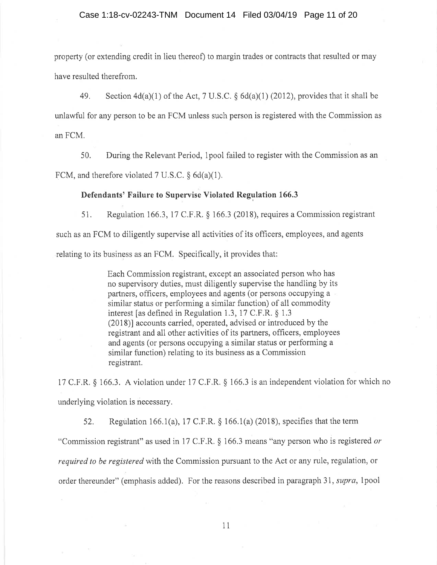property (or extending credit in lieu thereof) to margin trades or contracts that resulted or may have resulted therefrom.

49. Section 4d(a)(l) of the Act, 7 U.S.C. § 6d(a)(l) (2012), provides that it shall be unlawful for any person to be an PCM unless such person is registered with the Commission as anFCM.

50. During the Relevant Period, 1 pool failed to register with the Commission as an FCM, and therefore violated 7 U.S.C.  $\S 6d(a)(1)$ .

# **Defendants' Failure to Supervise Violated Regulation 166.3**

51. Regulation 166.3, 17 C.F.R. § 166.3 (2018), requires a Commission registrant such as an PCM to diligently supervise all activities of its officers, employees, and agents relating to its business as an FCM. Specifically, it provides that:

> Each Commission registrant, except an associated person who has no supervisory duties, must diligently supervise the handling by its partners, officers, employees and agents (or persons occupying a similar status or performing a similar function) of all commodity interest [as defined in Regulation 1.3, 17 C.F.R. § 1.3 (2018)] accounts carried, operated, advised or introduced by the registrant and all other activities of its partners, officers, employees and agents ( or persons occupying a similar status or performing a similar function) relating to its business as a Commission registrant.

17 C.F.R. § 166.3. A violation under 17 C.F.R. § 166.3 is an independent violation for which no underlying violation is necessary.

52. Regulation 166.1(a), 17 C.F.R.  $\S$  166.1(a) (2018), specifies that the term "Commission registrant" as used in 17 C.F .R. § 166.3 means "any person who is registered *or required to be registered* with the Commission pursuant to the Act or any rule, regulation, or order thereunder" ( emphasis added). For the reasons described in paragraph 31, *supra,* 1 pool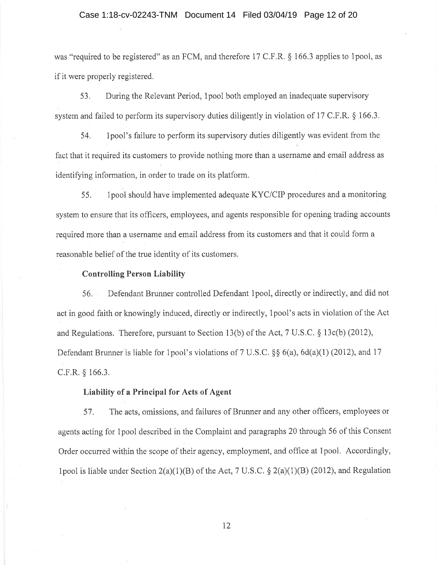#### Case 1:18-cv-02243-TNM Document 14 Filed 03/04/19 Page 12 of 20

was "required to be registered" as an FCM, and therefore 17 C.F.R.  $\S$  166.3 applies to 1 pool, as if it were properly registered.

5 3. During the Relevant Period, 1 pool both employed an inadequate supervisory system and failed to perform its supervisory duties diligently in violation of 17 C.F.R. § 166.3.

54. lpool's failure to perform its supervisory duties diligently was evident from the fact that it required its customers to provide nothing more than a username and email address as identifying information, in order to trade on its platform.

55. lpool should have implemented adequate KYC/CIP procedures and a monitoring system to ensure that its officers, employees, and agents responsible for opening trading accounts required more than a username and email address from its customers and that it could form a reasonable belief of the true identity of its customers.

# **Controlling Person Liability**

56. Defendant Brunner controlled Defendant lpool, directly or indirectly, and did not act in good faith or knowingly induced, directly or indirectly, lpool's acts in violation of the Act and Regulations. Therefore, pursuant to Section 13(b) of the Act, 7 U.S.C. § 13c(b) (2012), Defendant Brunner is liable for 1 pool's violations of 7 U.S.C. §§ 6(a), 6d(a)(1) (2012), and 17 C.F.R. § 166.3.

# **Liability of a Principal for Acts of Agent**

57. The acts, omissions, and failures of Brunner and any other officers, employees or agents acting for 1 pool described in the Complaint and paragraphs 20 through 56 of this Consent Order occurred within the scope of their agency, employment, and office at lpool. Accordingly, lpool is liable under Section  $2(a)(1)(B)$  of the Act, 7 U.S.C. §  $2(a)(1)(B)$  (2012), and Regulation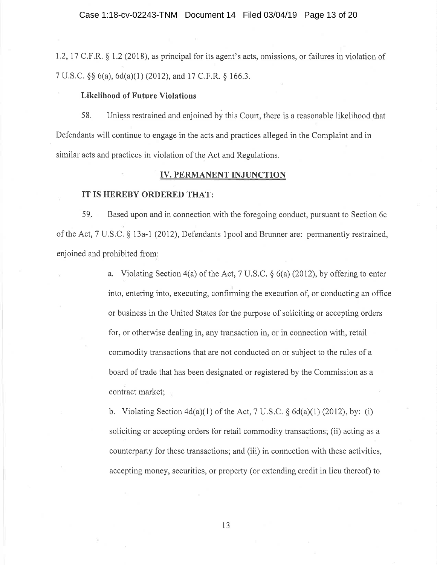1.2, 17 C.F .R. § 1.2 (2018), as principal for its agent's acts, omissions, or failures in violation of 7 U.S.C. §§ 6(a), 6d(a)(l) (2012), and 17 C.F.R. § 166.3.

# **Likelihood of Future Violations**

58. Unless restrained and enjoined by this Court, there is a reasonable likelihood that Defendants will continue to engage in the acts and practices alleged in the Complaint and in similar acts and practices in violation of the Act and Regulations.

#### **IV. PERMANENT INJUNCTION**

#### **IT IS HEREBY ORDERED THAT:**

59. Based upon and in connection with the foregoing conduct, pursuant to Section 6c of the Act, 7 U.S.C. § 13a-1 (2012), Defendants lpool and Brunner are: permanently restrained, enjoined and prohibited from:

> a. Violating Section 4(a) of the Act, 7 U.S.C. § 6(a) (2012), by offering to enter into, entering into, executing, confirming the execution of, or conducting an office or business in the United States for the purpose of soliciting or accepting orders for, or otherwise dealing in, any transaction in, or in connection with, retail commodity transactions that are not conducted on or subject to the rules of a board of trade that has been designated or registered by the Commission as a contract market;

b. Violating Section  $4d(a)(1)$  of the Act, 7 U.S.C. §  $6d(a)(1)$  (2012), by: (i) soliciting or accepting orders for retail commodity transactions; (ii) acting as a counterparty for these transactions; and (iii) in connection with these activities, accepting money, securities, or property (or extending credit in lieu thereof) to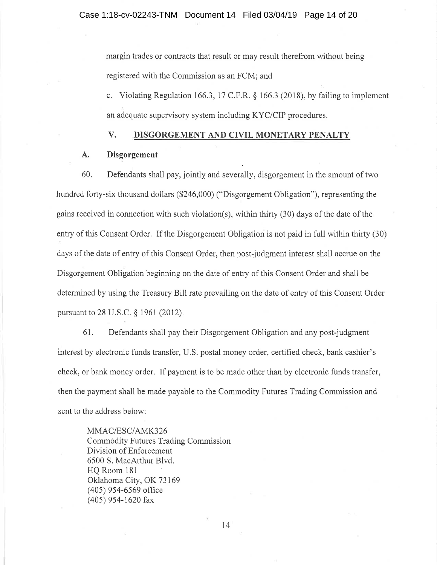margin trades or contracts that result or may result therefrom without being registered with the Commission as an FCM; and

c. Violating Regulation 166.3, 17 C.F.R. § 166.3 (2018), by failing to implement an adequate supervisory system including KYC/CIP procedures.

# **V. DISGORGEMENT AND CIVIL MONETARY PENALTY**

# **A. Disgorgement**

60. Defendants shall pay, jointly and severally, disgorgement in the amount of two hundred forty-six thousand dollars (\$246,000) ("Disgorgement Obligation"), representing the gains received in connection with such violation(s), within thirty (30) days of the date of the entry of this Consent Order. If the Disgorgement Obligation is not paid in full within thirty (30) days of the date of entry of this Consent Order, then post-judgment interest shall accrue on the Disgorgement Obligation beginning on the date of entry of this Consent Order and shall be determined by using the Treasury Bill rate prevailing on the date of entry of this Consent Order pursuant to 28 U.S.C. § 1961 (2012).

61. Defendants shall pay their Disgorgement Obligation and any post-judgment interest by electronic funds transfer, U.S. postal money order, certified check, bank cashier's check, or bank money order. If payment is to be made other than by electronic funds transfer, then the payment shall be made payable to the Commodity Futures Trading Commission and sent to the address below:

MMAC/ESC/AMK326 Commodity Futures Trading Commission Division of Enforcement 6500 S. MacArthur Blvd. HQ Room 181 Oklahoma City, OK 73169 ( 405) 954-6569 office (405) 954-1620 fax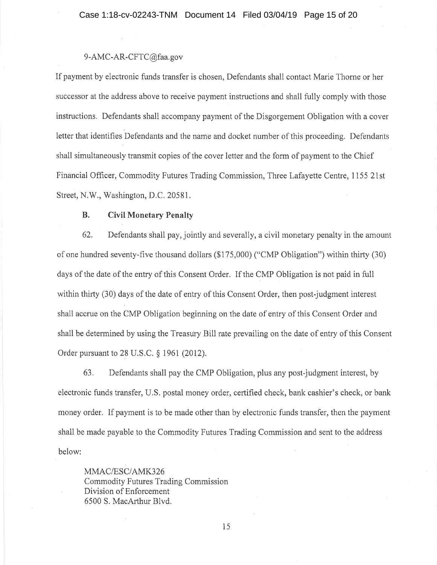# 9-AMC-AR-CFTC@faa.gov

If payment by electronic funds transfer is chosen, Defendants shall contact Marie Thorne or her successor at the address above to receive payment instructions and shall fully comply with those instructions. Defendants shall accompany payment of the Disgorgement Obligation with a cover letter that identifies Defendants and the name and docket number of this proceeding. Defendants shall simultaneously transmit copies of the cover letter and the form of payment to the Chief Financial Officer, Commodity Futures Trading Commission, Three Lafayette Centre, 1155 21st Street, N.W., Washington, D.C. 20581.

# **B. Civil Monetary Penalty**

62. Defendants shall pay, jointly and severally, a civil monetary penalty in the amount of one hundred seventy-five thousand dollars (\$175,000) ("CMP Obligation") within thirty (30) days of the date of the entry of this Consent Order. If the CMP Obligation is not paid in full within thirty (30) days of the date of entry of this Consent Order, then post-judgment interest shall accrue on the CMP Obligation beginning on the date of entry of this Consent Order and shall be determined by using the Treasury Bill rate prevailing on the date of entry of this Consent Order pursuant to 28 U.S.C. § 1961 (2012).

63. Defendants shall pay the CMP Obligation, plus any post-judgment interest, by electronic funds transfer, U.S. postal money order, certified check, bank cashier's check, or bank money order. If payment is to be made other than by electronic funds transfer, then the payment shall be made payable to the Commodity Futures Trading Commission and sent to the address below:

MMAC/ESC/AMK326 Commodity Futures Trading Commission Division of Enforcement 6500 S. MacArthur Blvd.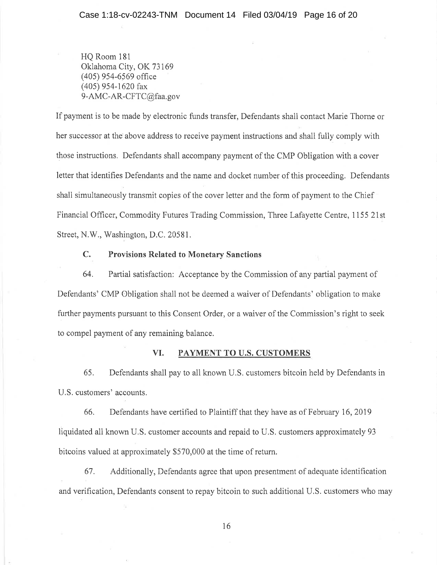HQ Room 181 Oklahoma City, OK 73169 ( 405) 954-6569 office (405) 954-1620 fax 9-AMC~AR-CFTC@faa.gov

If payment is to be made by electronic funds transfer, Defendants shall contact Marie Thorne or her successor at the above address to receive payment instructions and shall fully comply with those instructions. Defendants shall accompany payment of the CMP Obligation with a cover letter that identifies Defendants and the name and docket number of this proceeding. Defendants shall simultaneously transmit copies of the cover letter and the form of payment to the Chief Financial Officer, Commodity Futures Trading Commission, Three Lafayette Centre, 1155 21st Street, N.W., Washington, D.C. 20581.

# **C. Provisions Related to Monetary Sanctions**

64. Partial satisfaction: Acceptance by the Commission of any partial payment of Defendants' CMP Obligation shall not be deemed a waiver of Defendants' obligation to make further payments pursuant to this Consent Order, or a waiver of the Commission's right to seek to compel payment of any remaining balance.

# **VI. PAYMENT TO U.S. CUSTOMERS**

65. Defendants shall pay to all known U.S. customers bitcoin held by Defendants in U.S. customers' accounts.

66. Defendants have certified to Plaintiff that they have as of February 16, 2019 liquidated all known U.S. customer accounts and repaid to U.S. customers approximately 93 bitcoins valued at approximately \$570,000 at the time of return.

67. Additionally, Defendants agree that upon presentment of adequate identification and verification, Defendants consent to repay bitcoin to such additional U.S. customers who may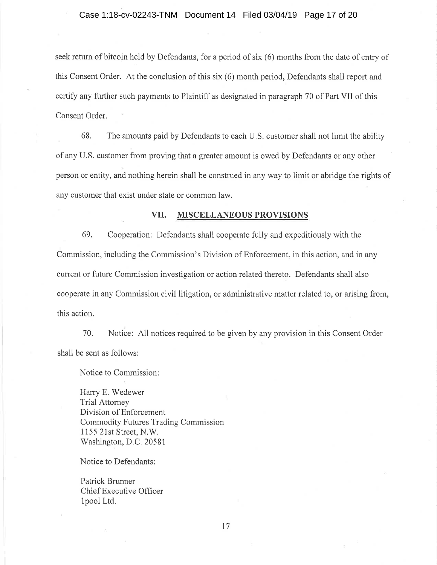seek return of bitcoin held by Defendants, for a period of six (6) months from the date of entry of this Consent Order. At the conclusion of this six (6) month period, Defendants shall report and certify any further such payments to Plaintiff as designated in paragraph 70 of Part VII of this Consent Order.

68. The amounts paid by Defendants to each U.S. customer shall not limit the ability of any U.S. customer from proving that a greater amount is owed by Defendants or any other person or entity, and nothing herein shall be construed in any way to limit or abridge the rights of any customer that exist under state or common law.

#### **VII. MISCELLANEOUS PROVISIONS**

69. Cooperation: Defendants shall cooperate fully and expeditiously with the Commission, including the Commission's Division of Enforcement, in this action, and in any current or future Commission investigation or action related thereto. Defendants shall also cooperate in any Commission civil litigation, or administrative matter related to, or arising from, this action.

70. Notice: All notices required to be given by any provision in this Consent Order shall be sent as follows:

Notice to Commission:

Harry E. Wedewer Trial Attorney Division of Enforcement Commodity Futures Trading Commission 1155 21st Street, N.W. Washington, D.C. 20581

Notice to Defendants:

Patrick Brunner Chief Executive Officer lpool Ltd.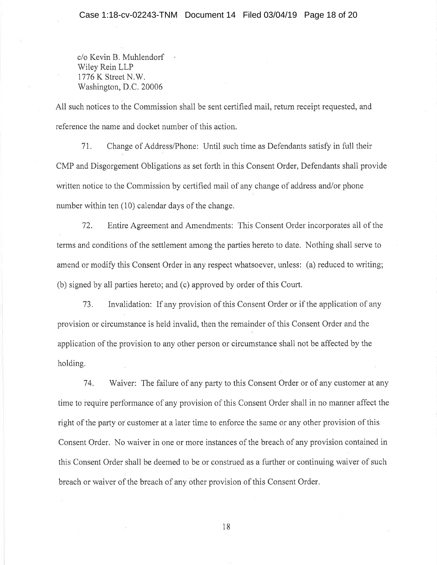c/o Kevin B. Muhlendorf Wiley Rein LLP 1776 K Street N.W. Washington, D.C. 20006

All such notices to the Commission shall be sent certified mail, return receipt requested, and reference the name and docket number of this action.

71. Change of Address/Phone: Until such time as Defendants satisfy in full their CMP and Disgorgement Obligations as set forth in this Consent Order, Defendants shall provide written notice to the Commission by certified mail of any change of address and/or phone number within ten (10) calendar days of the change.

72. Entire Agreement and Amendments: This Consent Order incorporates all of the terms and conditions of the settlement among the parties hereto to date. Nothing shall serve to amend or modify this Consent Order in any respect whatsoever, unless: (a) reduced to writing; (b) signed by all parties hereto; and (c) approved by order of this Court.

73. Invalidation: If any provision of this Consent Order or if the application of any provision or circumstance is held invalid, then the remainder of this Consent Order and the application of the provision to any other person or circumstance shall not be affected by the holding.

74. Waiver: The failure of any party to this Consent Order or of any customer at any time to require performance of any provision of this Consent Order shall in no manner affect the right of the party or customer at a later time to enforce the same or any other provision of this Consent Order. No waiver in one or more instances of the breach of any provision contained in this Consent Order shall be deemed to be or construed as a further or continuing waiver of such breach or waiver of the breach of any other provision of this Consent Order.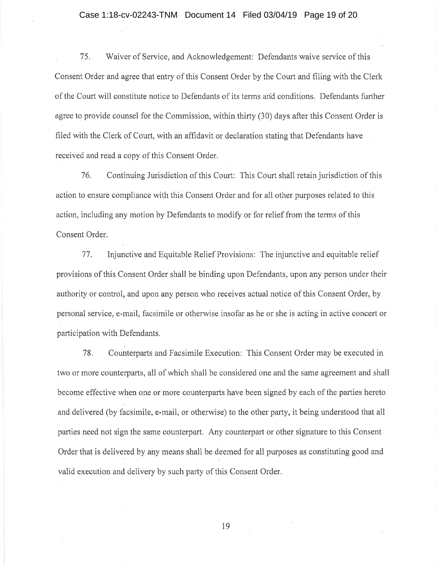#### Case 1:18-cv-02243-TNM Document 14 Filed 03/04/19 Page 19 of 20

75. Waiver of Service, and Acknowledgement: Defendants waive service of this Consent Order and agree that entry of this Consent Order by the Court and filing with the Clerk of the Court will constitute notice to Defendants of its terms arid conditions. Defendants further agree to provide counsel for the Commission, within thirty (30) days after this Consent Order is filed with the Clerk of Court, with an affidavit or declaration stating that Defendants have received and read a copy of this Consent Order.

76. Continuing Jurisdiction of this Court: This Court shall retain jurisdiction of this action to ensure compliance with this Consent Order and for all other purposes related to this action, including any motion by Defendants to modify or for relief from the terms of this Consent Order.

77. Injunctive and Equitable Relief Provisions: The injunctive and equitable relief provisions of this Consent Order shall be binding upon Defendants, upon any person under their authority or control, and upon any person who receives actual notice of this Consent Order, by personal service, e-mail, facsimile or otherwise insofar as he or she is acting in active concert or participation with Defendants.

78. Counterparts and Facsimile Execution: This Consent Order may be executed in two or more counterparts, all of which shall be considered one and the same agreement and shall become effective when one or more counterparts have been signed by each of the parties hereto and delivered (by facsimile, e-mail, or otherwise) to the other party, it being understood that all parties need not sign the same counterpart. Any counterpart or other signature to this Consent Order that is delivered by any means shall be deemed for all purposes as constituting good and valid execution and delivery by such party of this Consent Order.